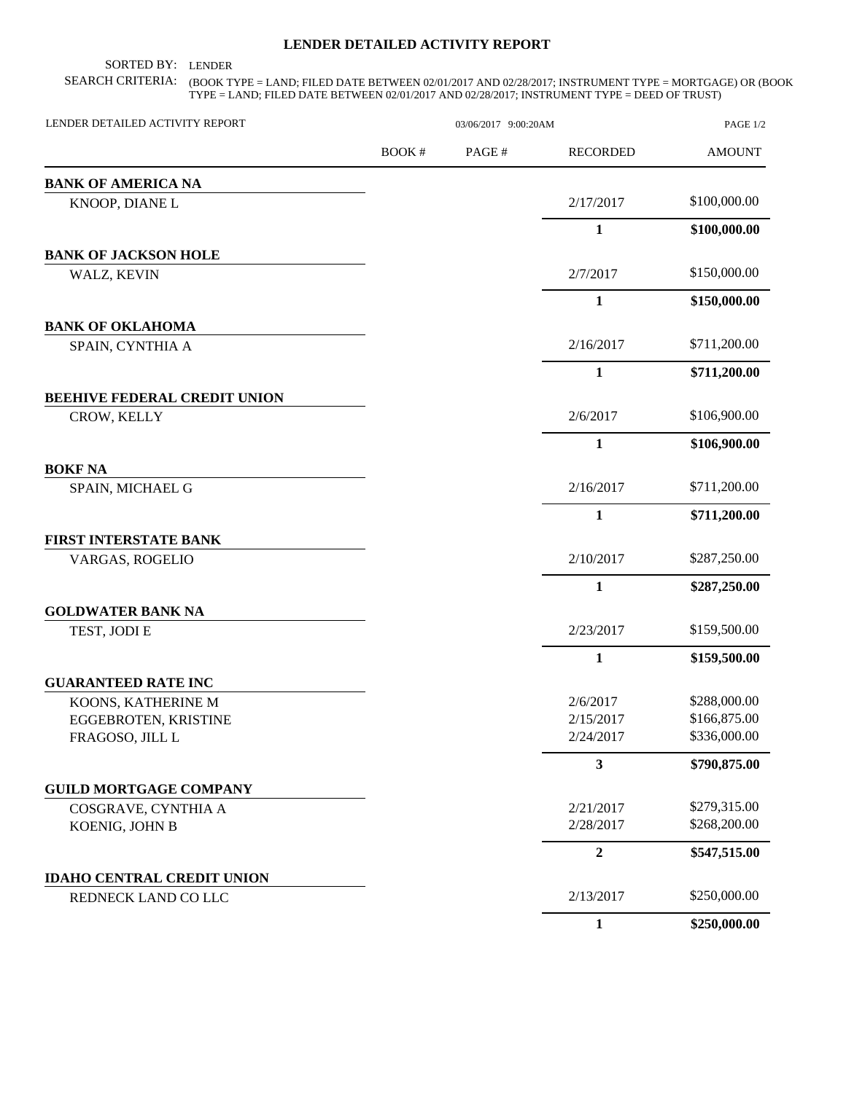## **LENDER DETAILED ACTIVITY REPORT**

SORTED BY: LENDER

SEARCH CRITERIA: (BOOK TYPE = LAND; FILED DATE BETWEEN 02/01/2017 AND 02/28/2017; INSTRUMENT TYPE = MORTGAGE) OR (BOOK TYPE = LAND; FILED DATE BETWEEN 02/01/2017 AND 02/28/2017; INSTRUMENT TYPE = DEED OF TRUST)

| LENDER DETAILED ACTIVITY REPORT     | 03/06/2017 9:00:20AM |       |                  | PAGE 1/2      |
|-------------------------------------|----------------------|-------|------------------|---------------|
|                                     | BOOK#                | PAGE# | <b>RECORDED</b>  | <b>AMOUNT</b> |
| <b>BANK OF AMERICA NA</b>           |                      |       |                  |               |
| KNOOP, DIANE L                      |                      |       | 2/17/2017        | \$100,000.00  |
|                                     |                      |       | $\mathbf{1}$     | \$100,000.00  |
| <b>BANK OF JACKSON HOLE</b>         |                      |       |                  |               |
| WALZ, KEVIN                         |                      |       | 2/7/2017         | \$150,000.00  |
|                                     |                      |       | 1                | \$150,000.00  |
| <b>BANK OF OKLAHOMA</b>             |                      |       |                  |               |
| SPAIN, CYNTHIA A                    |                      |       | 2/16/2017        | \$711,200.00  |
|                                     |                      |       | 1                | \$711,200.00  |
| <b>BEEHIVE FEDERAL CREDIT UNION</b> |                      |       |                  |               |
| CROW, KELLY                         |                      |       | 2/6/2017         | \$106,900.00  |
|                                     |                      |       | $\mathbf{1}$     | \$106,900.00  |
| <b>BOKF NA</b>                      |                      |       |                  |               |
| SPAIN, MICHAEL G                    |                      |       | 2/16/2017        | \$711,200.00  |
|                                     |                      |       | 1                | \$711,200.00  |
| <b>FIRST INTERSTATE BANK</b>        |                      |       |                  |               |
| VARGAS, ROGELIO                     |                      |       | 2/10/2017        | \$287,250.00  |
|                                     |                      |       | 1                | \$287,250.00  |
| <b>GOLDWATER BANK NA</b>            |                      |       |                  |               |
| TEST, JODI E                        |                      |       | 2/23/2017        | \$159,500.00  |
|                                     |                      |       | 1                | \$159,500.00  |
| <b>GUARANTEED RATE INC</b>          |                      |       |                  |               |
| KOONS, KATHERINE M                  |                      |       | 2/6/2017         | \$288,000.00  |
| EGGEBROTEN, KRISTINE                |                      |       | 2/15/2017        | \$166,875.00  |
| FRAGOSO, JILL L                     |                      |       | 2/24/2017        | \$336,000.00  |
|                                     |                      |       | 3                | \$790,875.00  |
| <b>GUILD MORTGAGE COMPANY</b>       |                      |       |                  |               |
| COSGRAVE, CYNTHIA A                 |                      |       | 2/21/2017        | \$279,315.00  |
| KOENIG, JOHN B                      |                      |       | 2/28/2017        | \$268,200.00  |
|                                     |                      |       | $\boldsymbol{2}$ | \$547,515.00  |
| <b>IDAHO CENTRAL CREDIT UNION</b>   |                      |       |                  |               |
| REDNECK LAND CO LLC                 |                      |       | 2/13/2017        | \$250,000.00  |
|                                     |                      |       | $\mathbf{1}$     | \$250,000.00  |